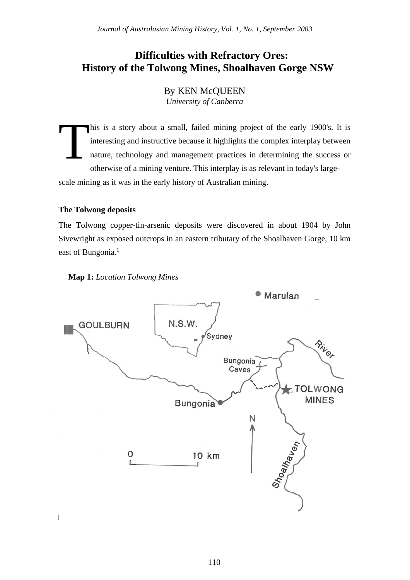# **Difficulties with Refractory Ores: History of the Tolwong Mines, Shoalhaven Gorge NSW**

By KEN McQUEEN *University of Canberra*

his is a story about a small, failed mining project of the early 1900's. It is interesting and instructive because it highlights the complex interplay between nature, technology and management practices in determining the success or otherwise of a mining venture. This interplay is as relevant in today's largescale mining as it was in the early history of Australian mining. T

# **The Tolwong deposits**

The Tolwong copper-tin-arsenic deposits were discovered in about 1904 by John Sivewright as exposed outcrops in an eastern tributary of the Shoalhaven Gorge, 10 km east of Bungonia.<sup>1</sup>





 $\mathfrak l$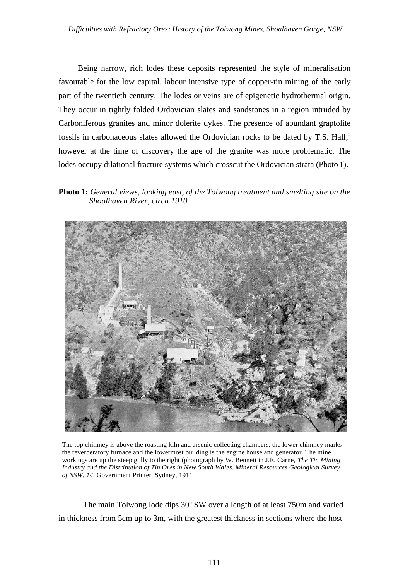Being narrow, rich lodes these deposits represented the style of mineralisation favourable for the low capital, labour intensive type of copper-tin mining of the early part of the twentieth century. The lodes or veins are of epigenetic hydrothermal origin. They occur in tightly folded Ordovician slates and sandstones in a region intruded by Carboniferous granites and minor dolerite dykes. The presence of abundant graptolite fossils in carbonaceous slates allowed the Ordovician rocks to be dated by T.S. Hall, 2 however at the time of discovery the age of the granite was more problematic. The lodes occupy dilational fracture systems which crosscut the Ordovician strata (Photo 1).

**Photo 1:** *General views, looking east, of the Tolwong treatment and smelting site on the Shoalhaven River, circa 1910.*



The top chimney is above the roasting kiln and arsenic collecting chambers, the lower chimney marks the reverberatory furnace and the lowermost building is the engine house and generator. The mine workings are up the steep gully to the right (photograph by W. Bennett in J.E. Carne, *The Tin Mining Industry and the Distribution of Tin Ores in New South Wales. Mineral Resources Geological Survey of NSW, 14,* Government Printer, Sydney, 1911

The main Tolwong lode dips 30º SW over a length of at least 750m and varied in thickness from 5cm up to 3m, with the greatest thickness in sections where the host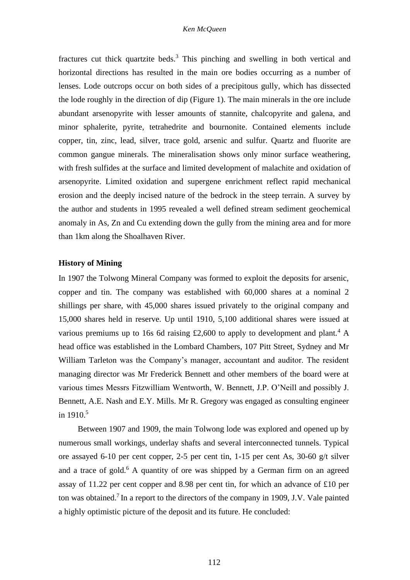fractures cut thick quartzite beds.<sup>3</sup> This pinching and swelling in both vertical and horizontal directions has resulted in the main ore bodies occurring as a number of lenses. Lode outcrops occur on both sides of a precipitous gully, which has dissected the lode roughly in the direction of dip (Figure 1). The main minerals in the ore include abundant arsenopyrite with lesser amounts of stannite, chalcopyrite and galena, and minor sphalerite, pyrite, tetrahedrite and bournonite. Contained elements include copper, tin, zinc, lead, silver, trace gold, arsenic and sulfur. Quartz and fluorite are common gangue minerals. The mineralisation shows only minor surface weathering, with fresh sulfides at the surface and limited development of malachite and oxidation of arsenopyrite. Limited oxidation and supergene enrichment reflect rapid mechanical erosion and the deeply incised nature of the bedrock in the steep terrain. A survey by the author and students in 1995 revealed a well defined stream sediment geochemical anomaly in As, Zn and Cu extending down the gully from the mining area and for more than 1km along the Shoalhaven River.

## **History of Mining**

In 1907 the Tolwong Mineral Company was formed to exploit the deposits for arsenic, copper and tin. The company was established with 60,000 shares at a nominal 2 shillings per share, with 45,000 shares issued privately to the original company and 15,000 shares held in reserve. Up until 1910, 5,100 additional shares were issued at various premiums up to 16s 6d raising £2,600 to apply to development and plant.<sup>4</sup> A head office was established in the Lombard Chambers, 107 Pitt Street, Sydney and Mr William Tarleton was the Company's manager, accountant and auditor. The resident managing director was Mr Frederick Bennett and other members of the board were at various times Messrs Fitzwilliam Wentworth, W. Bennett, J.P. O'Neill and possibly J. Bennett, A.E. Nash and E.Y. Mills. Mr R. Gregory was engaged as consulting engineer in 1910.<sup>5</sup>

Between 1907 and 1909, the main Tolwong lode was explored and opened up by numerous small workings, underlay shafts and several interconnected tunnels. Typical ore assayed 6-10 per cent copper, 2-5 per cent tin, 1-15 per cent As, 30-60 g/t silver and a trace of gold.<sup>6</sup> A quantity of ore was shipped by a German firm on an agreed assay of 11.22 per cent copper and 8.98 per cent tin, for which an advance of £10 per ton was obtained.<sup>7</sup> In a report to the directors of the company in 1909, J.V. Vale painted a highly optimistic picture of the deposit and its future. He concluded: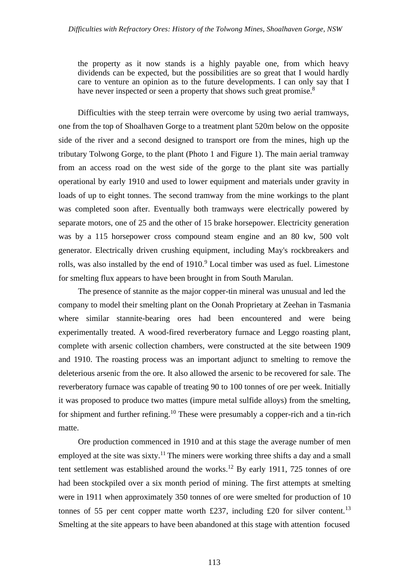the property as it now stands is a highly payable one, from which heavy dividends can be expected, but the possibilities are so great that I would hardly care to venture an opinion as to the future developments. I can only say that I have never inspected or seen a property that shows such great promise.<sup>8</sup>

Difficulties with the steep terrain were overcome by using two aerial tramways, one from the top of Shoalhaven Gorge to a treatment plant 520m below on the opposite side of the river and a second designed to transport ore from the mines, high up the tributary Tolwong Gorge, to the plant (Photo 1 and Figure 1). The main aerial tramway from an access road on the west side of the gorge to the plant site was partially operational by early 1910 and used to lower equipment and materials under gravity in loads of up to eight tonnes. The second tramway from the mine workings to the plant was completed soon after. Eventually both tramways were electrically powered by separate motors, one of 25 and the other of 15 brake horsepower. Electricity generation was by a 115 horsepower cross compound steam engine and an 80 kw, 500 volt generator. Electrically driven crushing equipment, including May's rockbreakers and rolls, was also installed by the end of 1910.<sup>9</sup> Local timber was used as fuel. Limestone for smelting flux appears to have been brought in from South Marulan.

The presence of stannite as the major copper-tin mineral was unusual and led the company to model their smelting plant on the Oonah Proprietary at Zeehan in Tasmania where similar stannite-bearing ores had been encountered and were being experimentally treated. A wood-fired reverberatory furnace and Leggo roasting plant, complete with arsenic collection chambers, were constructed at the site between 1909 and 1910. The roasting process was an important adjunct to smelting to remove the deleterious arsenic from the ore. It also allowed the arsenic to be recovered for sale. The reverberatory furnace was capable of treating 90 to 100 tonnes of ore per week. Initially it was proposed to produce two mattes (impure metal sulfide alloys) from the smelting, for shipment and further refining.<sup>10</sup> These were presumably a copper-rich and a tin-rich matte.

Ore production commenced in 1910 and at this stage the average number of men employed at the site was sixty.<sup>11</sup> The miners were working three shifts a day and a small tent settlement was established around the works.<sup>12</sup> By early 1911, 725 tonnes of ore had been stockpiled over a six month period of mining. The first attempts at smelting were in 1911 when approximately 350 tonnes of ore were smelted for production of 10 tonnes of 55 per cent copper matte worth £237, including £20 for silver content.<sup>13</sup> Smelting at the site appears to have been abandoned at this stage with attention focused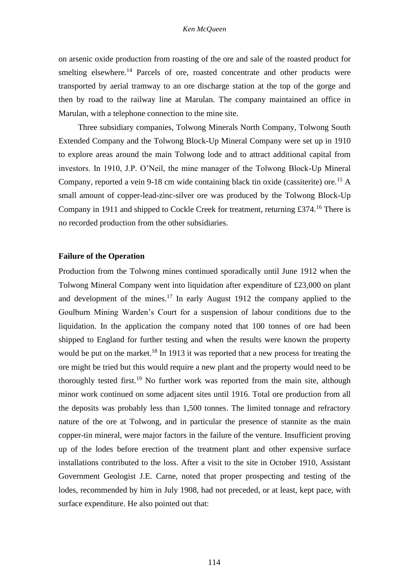on arsenic oxide production from roasting of the ore and sale of the roasted product for smelting elsewhere.<sup>14</sup> Parcels of ore, roasted concentrate and other products were transported by aerial tramway to an ore discharge station at the top of the gorge and then by road to the railway line at Marulan. The company maintained an office in Marulan, with a telephone connection to the mine site.

Three subsidiary companies, Tolwong Minerals North Company, Tolwong South Extended Company and the Tolwong Block-Up Mineral Company were set up in 1910 to explore areas around the main Tolwong lode and to attract additional capital from investors. In 1910, J.P. O'Neil, the mine manager of the Tolwong Block-Up Mineral Company, reported a vein 9-18 cm wide containing black tin oxide (cassiterite) ore.<sup>15</sup> A small amount of copper-lead-zinc-silver ore was produced by the Tolwong Block-Up Company in 1911 and shipped to Cockle Creek for treatment, returning £374.<sup>16</sup> There is no recorded production from the other subsidiaries.

## **Failure of the Operation**

Production from the Tolwong mines continued sporadically until June 1912 when the Tolwong Mineral Company went into liquidation after expenditure of £23,000 on plant and development of the mines.<sup>17</sup> In early August 1912 the company applied to the Goulburn Mining Warden's Court for a suspension of labour conditions due to the liquidation. In the application the company noted that 100 tonnes of ore had been shipped to England for further testing and when the results were known the property would be put on the market.<sup>18</sup> In 1913 it was reported that a new process for treating the ore might be tried but this would require a new plant and the property would need to be thoroughly tested first.<sup>19</sup> No further work was reported from the main site, although minor work continued on some adjacent sites until 1916. Total ore production from all the deposits was probably less than 1,500 tonnes. The limited tonnage and refractory nature of the ore at Tolwong, and in particular the presence of stannite as the main copper-tin mineral, were major factors in the failure of the venture. Insufficient proving up of the lodes before erection of the treatment plant and other expensive surface installations contributed to the loss. After a visit to the site in October 1910, Assistant Government Geologist J.E. Carne, noted that proper prospecting and testing of the lodes, recommended by him in July 1908, had not preceded, or at least, kept pace, with surface expenditure. He also pointed out that: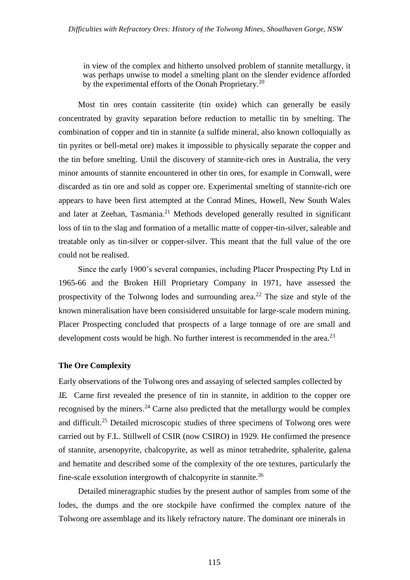in view of the complex and hitherto unsolved problem of stannite metallurgy, it was perhaps unwise to model a smelting plant on the slender evidence afforded by the experimental efforts of the Oonah Proprietary.<sup>20</sup>

Most tin ores contain cassiterite (tin oxide) which can generally be easily concentrated by gravity separation before reduction to metallic tin by smelting. The combination of copper and tin in stannite (a sulfide mineral, also known colloquially as tin pyrites or bell-metal ore) makes it impossible to physically separate the copper and the tin before smelting. Until the discovery of stannite-rich ores in Australia, the very minor amounts of stannite encountered in other tin ores, for example in Cornwall, were discarded as tin ore and sold as copper ore. Experimental smelting of stannite-rich ore appears to have been first attempted at the Conrad Mines, Howell, New South Wales and later at Zeehan, Tasmania.<sup>21</sup> Methods developed generally resulted in significant loss of tin to the slag and formation of a metallic matte of copper-tin-silver, saleable and treatable only as tin-silver or copper-silver. This meant that the full value of the ore could not be realised.

Since the early 1900's several companies, including Placer Prospecting Pty Ltd in 1965-66 and the Broken Hill Proprietary Company in 1971, have assessed the prospectivity of the Tolwong lodes and surrounding area.<sup>22</sup> The size and style of the known mineralisation have been consisidered unsuitable for large-scale modern mining. Placer Prospecting concluded that prospects of a large tonnage of ore are small and development costs would be high. No further interest is recommended in the area.<sup>23</sup>

## **The Ore Complexity**

Early observations of the Tolwong ores and assaying of selected samples collected by J.E. Carne first revealed the presence of tin in stannite, in addition to the copper ore recognised by the miners. $24$  Carne also predicted that the metallurgy would be complex and difficult.<sup>25</sup> Detailed microscopic studies of three specimens of Tolwong ores were carried out by F.L. Stillwell of CSIR (now CSIRO) in 1929. He confirmed the presence of stannite, arsenopyrite, chalcopyrite, as well as minor tetrahedrite, sphalerite, galena and hematite and described some of the complexity of the ore textures, particularly the fine-scale exsolution intergrowth of chalcopyrite in stannite.<sup>26</sup>

Detailed mineragraphic studies by the present author of samples from some of the lodes, the dumps and the ore stockpile have confirmed the complex nature of the Tolwong ore assemblage and its likely refractory nature. The dominant ore minerals in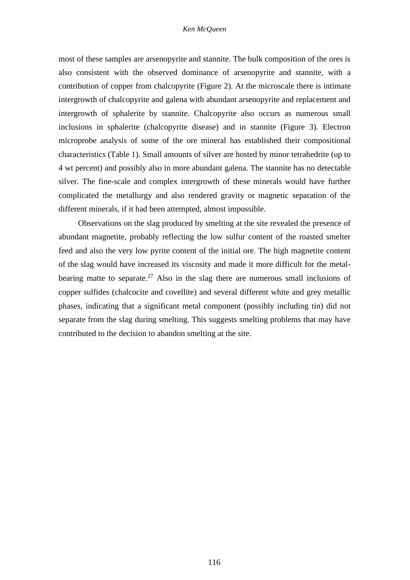#### *Ken McQueen*

most of these samples are arsenopyrite and stannite. The bulk composition of the ores is also consistent with the observed dominance of arsenopyrite and stannite, with a contribution of copper from chalcopyrite (Figure 2). At the microscale there is intimate intergrowth of chalcopyrite and galena with abundant arsenopyrite and replacement and intergrowth of sphalerite by stannite. Chalcopyrite also occurs as numerous small inclusions in sphalerite (chalcopyrite disease) and in stannite (Figure 3). Electron microprobe analysis of some of the ore mineral has established their compositional characteristics (Table 1). Small amounts of silver are hosted by minor tetrahedrite (up to 4 wt percent) and possibly also in more abundant galena. The stannite has no detectable silver. The fine-scale and complex intergrowth of these minerals would have further complicated the metallurgy and also rendered gravity or magnetic separation of the different minerals, if it had been attempted, almost impossible.

Observations on the slag produced by smelting at the site revealed the presence of abundant magnetite, probably reflecting the low sulfur content of the roasted smelter feed and also the very low pyrite content of the initial ore. The high magnetite content of the slag would have increased its viscosity and made it more difficult for the metalbearing matte to separate.<sup>27</sup> Also in the slag there are numerous small inclusions of copper sulfides (chalcocite and covellite) and several different white and grey metallic phases, indicating that a significant metal component (possibly including tin) did not separate from the slag during smelting. This suggests smelting problems that may have contributed to the decision to abandon smelting at the site.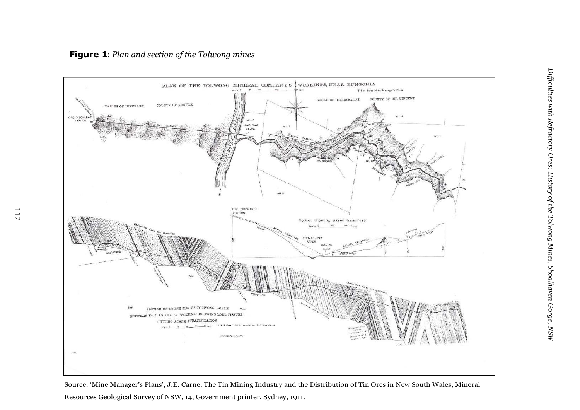

Source: 'Mine Manager's Plans', J.E. Carne, The Tin Mining Industry and the Distribution of Tin Ores in New South Wales, Mineral Resources Geological Survey of NSW, 14, Government printer, Sydney, 1911.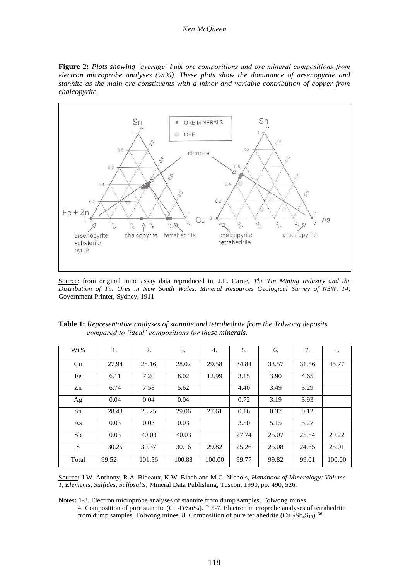#### *Ken McQueen*

**Figure 2:** *Plots showing 'average' bulk ore compositions and ore mineral compositions from electron microprobe analyses (wt%). These plots show the dominance of arsenopyrite and stannite as the main ore constituents with a minor and variable contribution of copper from chalcopyrite.*



Source: from original mine assay data reproduced in, J.E. Carne, *The Tin Mining Industry and the Distribution of Tin Ores in New South Wales. Mineral Resources Geological Survey of NSW, 14,*  Government Printer, Sydney, 1911

| Wt%   | 1.    | 2.     | 3.     | 4.     | 5.    | 6.    | 7.    | 8.     |
|-------|-------|--------|--------|--------|-------|-------|-------|--------|
| Cu    | 27.94 | 28.16  | 28.02  | 29.58  | 34.84 | 33.57 | 31.56 | 45.77  |
| Fe    | 6.11  | 7.20   | 8.02   | 12.99  | 3.15  | 3.90  | 4.65  |        |
| Zn    | 6.74  | 7.58   | 5.62   |        | 4.40  | 3.49  | 3.29  |        |
| Ag    | 0.04  | 0.04   | 0.04   |        | 0.72  | 3.19  | 3.93  |        |
| Sn    | 28.48 | 28.25  | 29.06  | 27.61  | 0.16  | 0.37  | 0.12  |        |
| As    | 0.03  | 0.03   | 0.03   |        | 3.50  | 5.15  | 5.27  |        |
| Sb    | 0.03  | < 0.03 | < 0.03 |        | 27.74 | 25.07 | 25.54 | 29.22  |
| S     | 30.25 | 30.37  | 30.16  | 29.82  | 25.26 | 25.08 | 24.65 | 25.01  |
| Total | 99.52 | 101.56 | 100.88 | 100.00 | 99.77 | 99.82 | 99.01 | 100.00 |

| <b>Table 1:</b> Representative analyses of stannite and tetrahedrite from the Tolwong deposits |  |
|------------------------------------------------------------------------------------------------|--|
| compared to 'ideal' compositions for these minerals.                                           |  |

Source**:** J.W. Anthony, R.A. Bideaux, K.W. Bladh and M.C. Nichols, *Handbook of Mineralogy: Volume 1, Elements, Sulfides, Sulfosalts*, Mineral Data Publishing, Tuscon, 1990, pp. 490, 526.

Notes**:** 1-3. Electron microprobe analyses of stannite from dump samples, Tolwong mines. 4. Composition of pure stannite (Cu<sub>2</sub>FeSnS<sub>4</sub>). <sup>35</sup> 5-7. Electron microprobe analyses of tetrahedrite

from dump samples, Tolwong mines. 8. Composition of pure tetrahedrite  $(Cu_{12}Sb_4S_{13})$ . <sup>36</sup>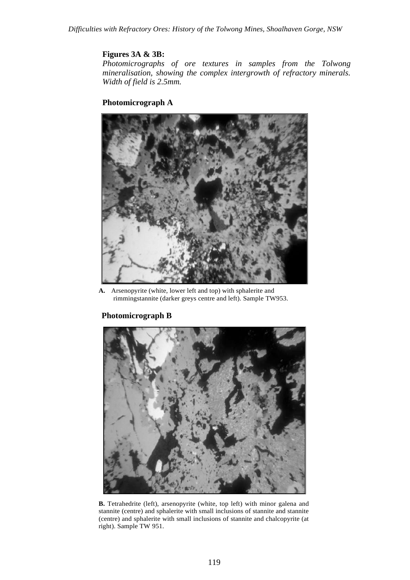# **Figures 3A & 3B:**

*Photomicrographs of ore textures in samples from the Tolwong mineralisation, showing the complex intergrowth of refractory minerals. Width of field is 2.5mm.*

# **Photomicrograph A**



**A.** Arsenopyrite (white, lower left and top) with sphalerite and rimmingstannite (darker greys centre and left). Sample TW953.

# **Photomicrograph B**



**B.** Tetrahedrite (left), arsenopyrite (white, top left) with minor galena and stannite (centre) and sphalerite with small inclusions of stannite and stannite (centre) and sphalerite with small inclusions of stannite and chalcopyrite (at right). Sample TW 951.